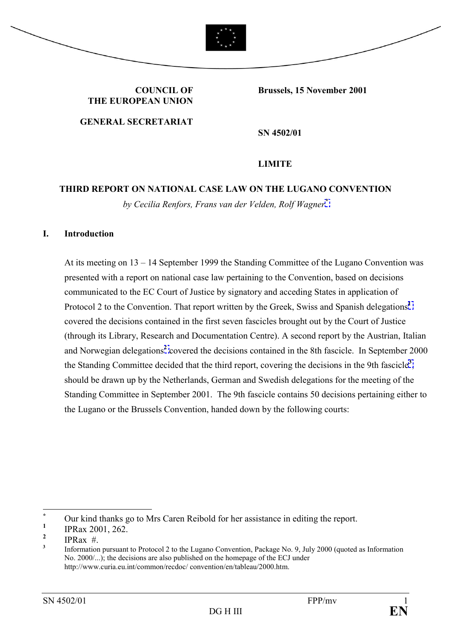

**COUNCIL OF THE EUROPEAN UNION**

**GENERAL SECRETARIAT**

**SN 4502/01**

**Brussels, 15 November 2001**

#### **LIMITE**

## **THIRD REPORT ON NATIONAL CASE LAW ON THE LUGANO CONVENTION** *by Cecilia Renfors, Frans van der Velden, Rolf Wagner[\\*](#page-0-0)*

#### **I. Introduction**

At its meeting on  $13 - 14$  September 1999 the Standing Committee of the Lugano Convention was presented with a report on national case law pertaining to the Convention, based on decisions communicated to the EC Court of Justice by signatory and acceding States in application of Protocol 2 to the Convention. That report written by the Greek, Swiss and Spanish delegations<sup>[1](#page-0-1)</sup> covered the decisions contained in the first seven fascicles brought out by the Court of Justice (through its Library, Research and Documentation Centre). A second report by the Austrian, Italian andNorwegian delegations<sup>2</sup> covered the decisions contained in the 8th fascicle. In September 2000 the Standing Committee decided that the third report, covering the decisions in the 9th fascicle**[3](#page-0-3)** , should be drawn up by the Netherlands, German and Swedish delegations for the meeting of the Standing Committee in September 2001. The 9th fascicle contains 50 decisions pertaining either to the Lugano or the Brussels Convention, handed down by the following courts:

 $\overline{a}$ 

<span id="page-0-0"></span>**<sup>\*</sup>** Our kind thanks go to Mrs Caren Reibold for her assistance in editing the report.

<span id="page-0-1"></span>**<sup>1</sup>** IPRax 2001, 262.

<span id="page-0-2"></span>**<sup>2</sup> IPRax**  $#$ 

<span id="page-0-3"></span>**<sup>3</sup>** Information pursuant to Protocol 2 to the Lugano Convention, Package No. 9, July 2000 (quoted as Information No. 2000/...); the decisions are also published on the homepage of the ECJ under http://www.curia.eu.int/common/recdoc/ convention/en/tableau/2000.htm.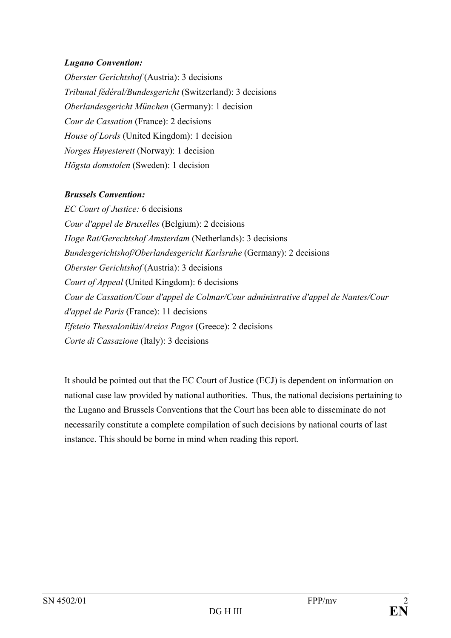#### *Lugano Convention:*

*Oberster Gerichtshof* (Austria): 3 decisions *Tribunal fÈdÈral/Bundesgericht* (Switzerland): 3 decisions *Oberlandesgericht München* (Germany): 1 decision *Cour de Cassation* (France): 2 decisions *House of Lords* (United Kingdom): 1 decision *Norges Høyesterett* (Norway): 1 decision *Högsta domstolen* (Sweden): 1 decision

#### *Brussels Convention:*

*EC Court of Justice:* 6 decisions *Cour d'appel de Bruxelles* (Belgium): 2 decisions *Hoge Rat/Gerechtshof Amsterdam* (Netherlands): 3 decisions *Bundesgerichtshof/Oberlandesgericht Karlsruhe* (Germany): 2 decisions *Oberster Gerichtshof* (Austria): 3 decisions *Court of Appeal* (United Kingdom): 6 decisions *Cour de Cassation/Cour d'appel de Colmar/Cour administrative d'appel de Nantes/Cour d'appel de Paris* (France): 11 decisions *Efeteio Thessalonikis/Areios Pagos* (Greece): 2 decisions *Corte di Cassazione* (Italy): 3 decisions

It should be pointed out that the EC Court of Justice (ECJ) is dependent on information on national case law provided by national authorities. Thus, the national decisions pertaining to the Lugano and Brussels Conventions that the Court has been able to disseminate do not necessarily constitute a complete compilation of such decisions by national courts of last instance. This should be borne in mind when reading this report.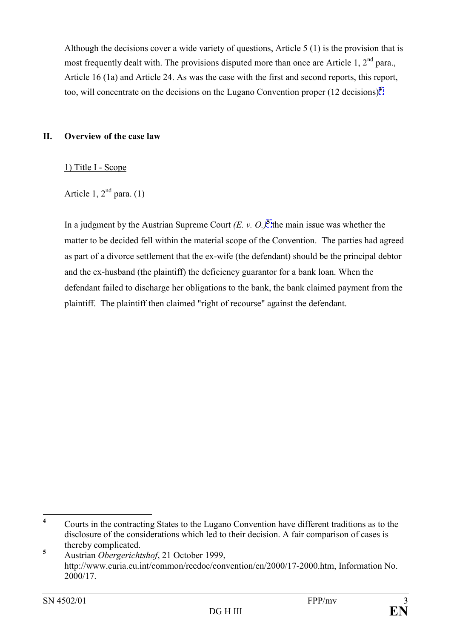Although the decisions cover a wide variety of questions, Article 5 (1) is the provision that is most frequently dealt with. The provisions disputed more than once are Article 1, 2<sup>nd</sup> para., Article 16 (1a) and Article 24. As was the case with the first and second reports, this report, too, will concentrate on the decisions on the Lugano Convention proper (12 decisions)**[4](#page-2-0)** .

#### **II. Overview of the case law**

1) Title I - Scope

### Article 1,  $2<sup>nd</sup>$  para. (1)

In a judgment by the Austrian Supreme Court  $(E, v, O)<sup>5</sup>$  $(E, v, O)<sup>5</sup>$  $(E, v, O)<sup>5</sup>$  the main issue was whether the matter to be decided fell within the material scope of the Convention. The parties had agreed as part of a divorce settlement that the ex-wife (the defendant) should be the principal debtor and the ex-husband (the plaintiff) the deficiency guarantor for a bank loan. When the defendant failed to discharge her obligations to the bank, the bank claimed payment from the plaintiff. The plaintiff then claimed "right of recourse" against the defendant.

<span id="page-2-0"></span> **4** Courts in the contracting States to the Lugano Convention have different traditions as to the disclosure of the considerations which led to their decision. A fair comparison of cases is thereby complicated.

<span id="page-2-1"></span>**<sup>5</sup>** Austrian *Obergerichtshof*, 21 October 1999, http://www.curia.eu.int/common/recdoc/convention/en/2000/17-2000.htm, Information No. 2000/17.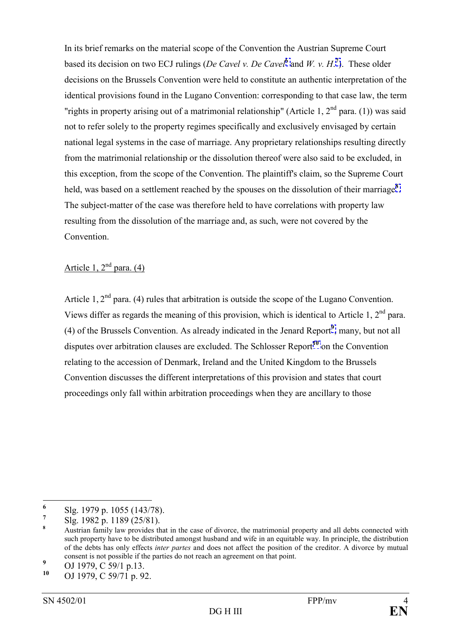In its brief remarks on the material scope of the Convention the Austrian Supreme Court based its decision on two ECJ rulings (*De Cavel v. De Cavel***[6](#page-3-0)** and *W. v. H*. **[7](#page-3-1)** ). These older decisions on the Brussels Convention were held to constitute an authentic interpretation of the identical provisions found in the Lugano Convention: corresponding to that case law, the term "rights in property arising out of a matrimonial relationship" (Article 1,  $2<sup>nd</sup>$  para. (1)) was said not to refer solely to the property regimes specifically and exclusively envisaged by certain national legal systems in the case of marriage. Any proprietary relationships resulting directly from the matrimonial relationship or the dissolution thereof were also said to be excluded, in this exception, from the scope of the Convention. The plaintiff's claim, so the Supreme Court held, was based on a settlement reached by the spouses on the dissolution of their marriage**[8](#page-3-2)** . The subject-matter of the case was therefore held to have correlations with property law resulting from the dissolution of the marriage and, as such, were not covered by the Convention.

## Article 1,  $2<sup>nd</sup>$  para. (4)

Article 1,  $2<sup>nd</sup>$  para. (4) rules that arbitration is outside the scope of the Lugano Convention. Views differ as regards the meaning of this provision, which is identical to Article 1,  $2<sup>nd</sup>$  para. (4) of the Brussels Convention. As already indicated in the Jenard Report**[9](#page-3-3)** , many, but not all disputes over arbitration clauses are excluded. The Schlosser Report**[10](#page-3-4)** on the Convention relating to the accession of Denmark, Ireland and the United Kingdom to the Brussels Convention discusses the different interpretations of this provision and states that court proceedings only fall within arbitration proceedings when they are ancillary to those

 **6** Slg. 1979 p. 1055 (143/78).

<span id="page-3-1"></span><span id="page-3-0"></span>**<sup>7</sup>** Slg. 1982 p. 1189 (25/81).

<span id="page-3-2"></span>**<sup>8</sup>** Austrian family law provides that in the case of divorce, the matrimonial property and all debts connected with such property have to be distributed amongst husband and wife in an equitable way. In principle, the distribution of the debts has only effects *inter partes* and does not affect the position of the creditor. A divorce by mutual consent is not possible if the parties do not reach an agreement on that point.

<span id="page-3-3"></span>**<sup>9</sup>** <sup>9</sup> OJ 1979, C 59/1 p.13.

<span id="page-3-4"></span>**<sup>10</sup>** OJ 1979, C 59/71 p. 92.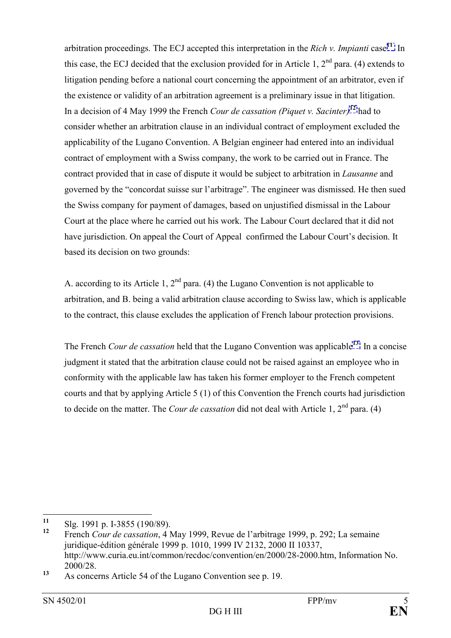arbitration proceedings. The ECJ accepted this interpretation in the *Rich v. Impianti* case**[11](#page-4-0)**. In this case, the ECJ decided that the exclusion provided for in Article 1,  $2<sup>nd</sup>$  para. (4) extends to litigation pending before a national court concerning the appointment of an arbitrator, even if the existence or validity of an arbitration agreement is a preliminary issue in that litigation. In a decision of 4 May 1999 the French *Cour de cassation (Piquet v. Sacinter)***[12](#page-4-1)** had to consider whether an arbitration clause in an individual contract of employment excluded the applicability of the Lugano Convention. A Belgian engineer had entered into an individual contract of employment with a Swiss company, the work to be carried out in France. The contract provided that in case of dispute it would be subject to arbitration in *Lausanne* and governed by the "concordat suisse sur l'arbitrage". The engineer was dismissed. He then sued the Swiss company for payment of damages, based on unjustified dismissal in the Labour Court at the place where he carried out his work. The Labour Court declared that it did not have jurisdiction. On appeal the Court of Appeal confirmed the Labour Court's decision. It based its decision on two grounds:

A. according to its Article 1,  $2<sup>nd</sup>$  para. (4) the Lugano Convention is not applicable to arbitration, and B. being a valid arbitration clause according to Swiss law, which is applicable to the contract, this clause excludes the application of French labour protection provisions.

The French *Cour de cassation* held that the Lugano Convention was applicable**[13](#page-4-2)**. In a concise judgment it stated that the arbitration clause could not be raised against an employee who in conformity with the applicable law has taken his former employer to the French competent courts and that by applying Article 5 (1) of this Convention the French courts had jurisdiction to decide on the matter. The *Cour de cassation* did not deal with Article 1,  $2<sup>nd</sup>$  para. (4)

<span id="page-4-0"></span> $11$ **<sup>11</sup>** Slg. 1991 p. I-3855 (190/89).

<span id="page-4-1"></span>French *Cour de cassation*, 4 May 1999, Revue de l'arbitrage 1999, p. 292; La semaine juridique-édition générale 1999 p. 1010, 1999 IV 2132, 2000 II 10337, http://www.curia.eu.int/common/recdoc/convention/en/2000/28-2000.htm, Information No. 2000/28.

<span id="page-4-2"></span>**<sup>13</sup>** As concerns Article 54 of the Lugano Convention see p. 19.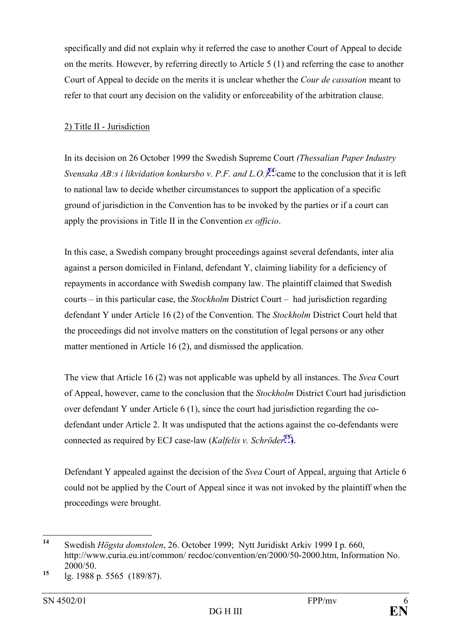specifically and did not explain why it referred the case to another Court of Appeal to decide on the merits. However, by referring directly to Article 5 (1) and referring the case to another Court of Appeal to decide on the merits it is unclear whether the *Cour de cassation* meant to refer to that court any decision on the validity or enforceability of the arbitration clause.

#### 2) Title II - Jurisdiction

In its decision on 26 October 1999 the Swedish Supreme Court *(Thessalian Paper Industry Svensaka AB:s i likvidation konkursbo v. P.F. and L.O.)***[14](#page-5-0)** came to the conclusion that it is left to national law to decide whether circumstances to support the application of a specific ground of jurisdiction in the Convention has to be invoked by the parties or if a court can apply the provisions in Title II in the Convention *ex officio*.

In this case, a Swedish company brought proceedings against several defendants, inter alia against a person domiciled in Finland, defendant Y, claiming liability for a deficiency of repayments in accordance with Swedish company law. The plaintiff claimed that Swedish courts – in this particular case, the *Stockholm* District Court – had jurisdiction regarding defendant Y under Article 16 (2) of the Convention. The *Stockholm* District Court held that the proceedings did not involve matters on the constitution of legal persons or any other matter mentioned in Article 16 (2), and dismissed the application.

The view that Article 16 (2) was not applicable was upheld by all instances. The *Svea* Court of Appeal, however, came to the conclusion that the *Stockholm* District Court had jurisdiction over defendant Y under Article 6 (1), since the court had jurisdiction regarding the codefendant under Article 2. It was undisputed that the actions against the co-defendants were connected as required by ECJ case-law (*Kalfelis v. Schröder*<sup>[15](#page-5-1)</sup>).

Defendant Y appealed against the decision of the *Svea* Court of Appeal, arguing that Article 6 could not be applied by the Court of Appeal since it was not invoked by the plaintiff when the proceedings were brought.

<span id="page-5-0"></span> $14$ **<sup>14</sup>** Swedish *Hˆgsta domstolen*, 26. October 1999; Nytt Juridiskt Arkiv 1999 I p. 660, http://www.curia.eu.int/common/ recdoc/convention/en/2000/50-2000.htm, Information No. 2000/50.

<span id="page-5-1"></span>**<sup>15</sup>** lg. 1988 p. 5565 (189/87).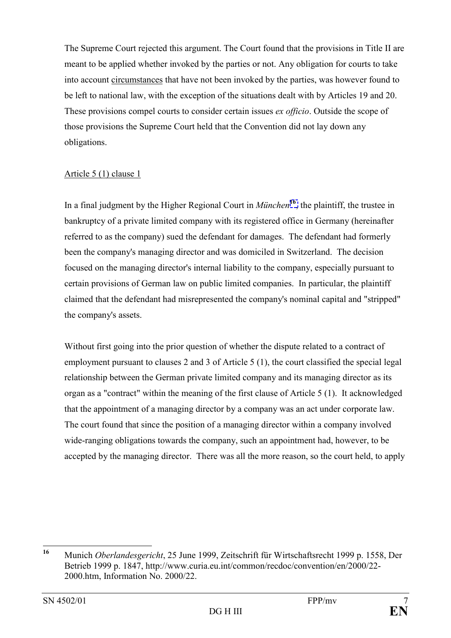The Supreme Court rejected this argument. The Court found that the provisions in Title II are meant to be applied whether invoked by the parties or not. Any obligation for courts to take into account circumstances that have not been invoked by the parties, was however found to be left to national law, with the exception of the situations dealt with by Articles 19 and 20. These provisions compel courts to consider certain issues *ex officio*. Outside the scope of those provisions the Supreme Court held that the Convention did not lay down any obligations.

#### Article 5 (1) clause 1

In a final judgment by the Higher Regional Court in *München*<sup>[16](#page-6-0)</sup>, the plaintiff, the trustee in bankruptcy of a private limited company with its registered office in Germany (hereinafter referred to as the company) sued the defendant for damages. The defendant had formerly been the company's managing director and was domiciled in Switzerland. The decision focused on the managing director's internal liability to the company, especially pursuant to certain provisions of German law on public limited companies. In particular, the plaintiff claimed that the defendant had misrepresented the company's nominal capital and "stripped" the company's assets.

Without first going into the prior question of whether the dispute related to a contract of employment pursuant to clauses 2 and 3 of Article 5 (1), the court classified the special legal relationship between the German private limited company and its managing director as its organ as a "contract" within the meaning of the first clause of Article 5 (1). It acknowledged that the appointment of a managing director by a company was an act under corporate law. The court found that since the position of a managing director within a company involved wide-ranging obligations towards the company, such an appointment had, however, to be accepted by the managing director. There was all the more reason, so the court held, to apply

<span id="page-6-0"></span> $16$ Munich *Oberlandesgericht*, 25 June 1999, Zeitschrift für Wirtschaftsrecht 1999 p. 1558, Der Betrieb 1999 p. 1847, http://www.curia.eu.int/common/recdoc/convention/en/2000/22- 2000.htm, Information No. 2000/22.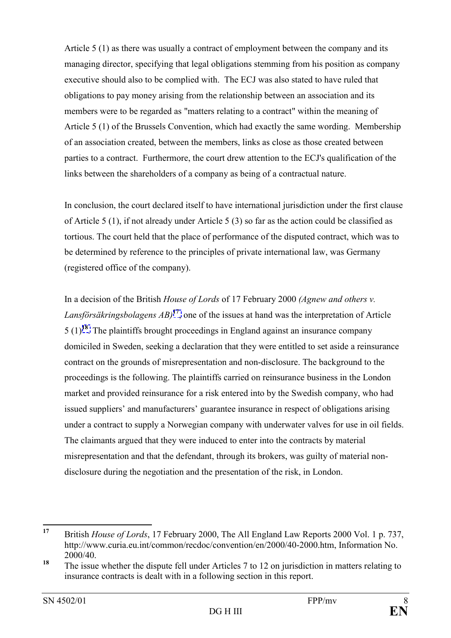Article 5 (1) as there was usually a contract of employment between the company and its managing director, specifying that legal obligations stemming from his position as company executive should also to be complied with. The ECJ was also stated to have ruled that obligations to pay money arising from the relationship between an association and its members were to be regarded as "matters relating to a contract" within the meaning of Article 5 (1) of the Brussels Convention, which had exactly the same wording. Membership of an association created, between the members, links as close as those created between parties to a contract. Furthermore, the court drew attention to the ECJ's qualification of the links between the shareholders of a company as being of a contractual nature.

In conclusion, the court declared itself to have international jurisdiction under the first clause of Article 5 (1), if not already under Article 5 (3) so far as the action could be classified as tortious. The court held that the place of performance of the disputed contract, which was to be determined by reference to the principles of private international law, was Germany (registered office of the company).

In a decision of the British *House of Lords* of 17 February 2000 *(Agnew and others v. Lansförsäkringsbolagens*  $AB$ <sup>[17](#page-7-0)</sup>, one of the issues at hand was the interpretation of Article 5 (1)**[18](#page-7-1)**. The plaintiffs brought proceedings in England against an insurance company domiciled in Sweden, seeking a declaration that they were entitled to set aside a reinsurance contract on the grounds of misrepresentation and non-disclosure. The background to the proceedings is the following. The plaintiffs carried on reinsurance business in the London market and provided reinsurance for a risk entered into by the Swedish company, who had issued suppliers' and manufacturers' guarantee insurance in respect of obligations arising under a contract to supply a Norwegian company with underwater valves for use in oil fields. The claimants argued that they were induced to enter into the contracts by material misrepresentation and that the defendant, through its brokers, was guilty of material nondisclosure during the negotiation and the presentation of the risk, in London.

<span id="page-7-0"></span><sup>17</sup> **<sup>17</sup>** British *House of Lords*, 17 February 2000, The All England Law Reports 2000 Vol. 1 p. 737, http://www.curia.eu.int/common/recdoc/convention/en/2000/40-2000.htm, Information No. 2000/40.

<span id="page-7-1"></span><sup>&</sup>lt;sup>18</sup> The issue whether the dispute fell under Articles 7 to 12 on jurisdiction in matters relating to insurance contracts is dealt with in a following section in this report.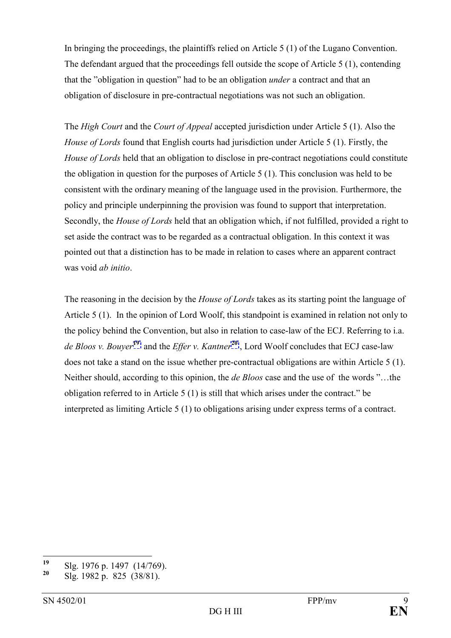In bringing the proceedings, the plaintiffs relied on Article 5 (1) of the Lugano Convention. The defendant argued that the proceedings fell outside the scope of Article 5 (1), contending that the "obligation in question" had to be an obligation *under* a contract and that an obligation of disclosure in pre-contractual negotiations was not such an obligation.

The *High Court* and the *Court of Appeal* accepted jurisdiction under Article 5 (1). Also the *House of Lords* found that English courts had jurisdiction under Article 5 (1). Firstly, the *House of Lords* held that an obligation to disclose in pre-contract negotiations could constitute the obligation in question for the purposes of Article 5 (1). This conclusion was held to be consistent with the ordinary meaning of the language used in the provision. Furthermore, the policy and principle underpinning the provision was found to support that interpretation. Secondly, the *House of Lords* held that an obligation which, if not fulfilled, provided a right to set aside the contract was to be regarded as a contractual obligation. In this context it was pointed out that a distinction has to be made in relation to cases where an apparent contract was void *ab initio*.

The reasoning in the decision by the *House of Lords* takes as its starting point the language of Article 5 (1). In the opinion of Lord Woolf, this standpoint is examined in relation not only to the policy behind the Convention, but also in relation to case-law of the ECJ. Referring to i.a. *de Bloos v. Bouyer***[19](#page-8-0)** and the *Effer v. Kantner***[20](#page-8-1)** , Lord Woolf concludes that ECJ case-law does not take a stand on the issue whether pre-contractual obligations are within Article 5 (1). Neither should, according to this opinion, the *de Bloos* case and the use of the words "...the obligation referred to in Article  $5(1)$  is still that which arises under the contract." be interpreted as limiting Article 5 (1) to obligations arising under express terms of a contract.

<span id="page-8-0"></span> $19$ <sup>19</sup> Slg. 1976 p. 1497 (14/769).<br><sup>20</sup> Sl<sub>1</sub> 1982 p. 825 (28/81).

<span id="page-8-1"></span>**<sup>20</sup>** Slg. 1982 p. 825 (38/81).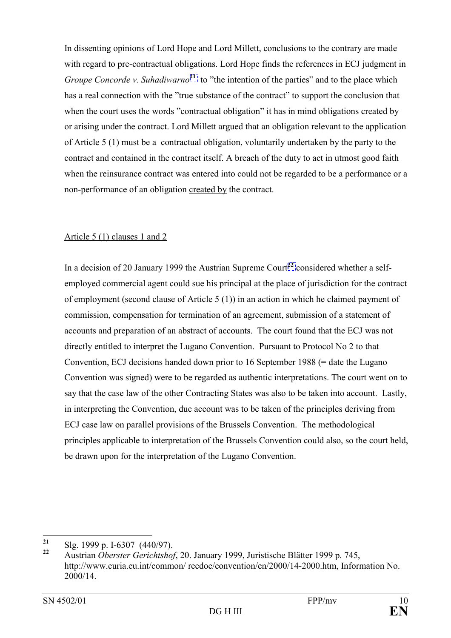In dissenting opinions of Lord Hope and Lord Millett, conclusions to the contrary are made with regard to pre-contractual obligations. Lord Hope finds the references in ECJ judgment in *Groupe Concorde v. Suhadiwarno*<sup>[21](#page-9-0)</sup> to "the intention of the parties" and to the place which has a real connection with the "true substance of the contract" to support the conclusion that when the court uses the words "contractual obligation" it has in mind obligations created by or arising under the contract. Lord Millett argued that an obligation relevant to the application of Article 5 (1) must be a contractual obligation, voluntarily undertaken by the party to the contract and contained in the contract itself. A breach of the duty to act in utmost good faith when the reinsurance contract was entered into could not be regarded to be a performance or a non-performance of an obligation created by the contract.

### Article 5 (1) clauses 1 and 2

In a decision of 20 January 1999 the Austrian Supreme Court<sup>[22](#page-9-1)</sup> considered whether a selfemployed commercial agent could sue his principal at the place of jurisdiction for the contract of employment (second clause of Article 5 (1)) in an action in which he claimed payment of commission, compensation for termination of an agreement, submission of a statement of accounts and preparation of an abstract of accounts. The court found that the ECJ was not directly entitled to interpret the Lugano Convention. Pursuant to Protocol No 2 to that Convention, ECJ decisions handed down prior to 16 September 1988 (= date the Lugano Convention was signed) were to be regarded as authentic interpretations. The court went on to say that the case law of the other Contracting States was also to be taken into account. Lastly, in interpreting the Convention, due account was to be taken of the principles deriving from ECJ case law on parallel provisions of the Brussels Convention. The methodological principles applicable to interpretation of the Brussels Convention could also, so the court held, be drawn upon for the interpretation of the Lugano Convention.

<span id="page-9-0"></span> $21$ <sup>21</sup> Slg. 1999 p. I-6307 (440/97).

<span id="page-9-1"></span>**<sup>22</sup>** Austrian *Oberster Gerichtshof*, 20. January 1999, Juristische Bl‰tter 1999 p. 745, http://www.curia.eu.int/common/ recdoc/convention/en/2000/14-2000.htm, Information No. 2000/14.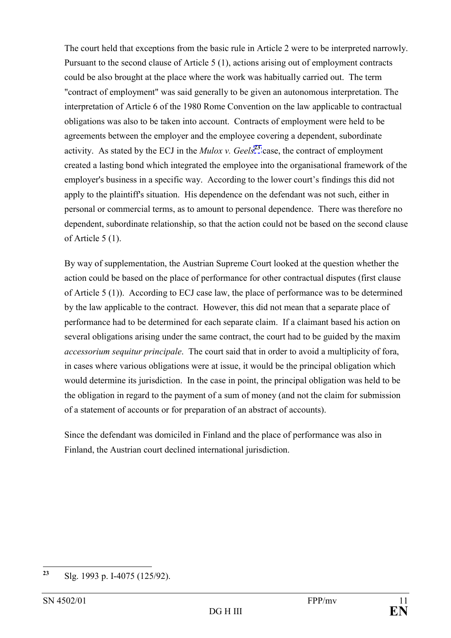The court held that exceptions from the basic rule in Article 2 were to be interpreted narrowly. Pursuant to the second clause of Article 5 (1), actions arising out of employment contracts could be also brought at the place where the work was habitually carried out. The term "contract of employment" was said generally to be given an autonomous interpretation. The interpretation of Article 6 of the 1980 Rome Convention on the law applicable to contractual obligations was also to be taken into account. Contracts of employment were held to be agreements between the employer and the employee covering a dependent, subordinate activity. As stated by the ECJ in the *Mulox v. Geels*<sup>[23](#page-10-0)</sup> case, the contract of employment created a lasting bond which integrated the employee into the organisational framework of the employer's business in a specific way. According to the lower court's findings this did not apply to the plaintiff's situation. His dependence on the defendant was not such, either in personal or commercial terms, as to amount to personal dependence. There was therefore no dependent, subordinate relationship, so that the action could not be based on the second clause of Article 5 (1).

By way of supplementation, the Austrian Supreme Court looked at the question whether the action could be based on the place of performance for other contractual disputes (first clause of Article 5 (1)). According to ECJ case law, the place of performance was to be determined by the law applicable to the contract. However, this did not mean that a separate place of performance had to be determined for each separate claim. If a claimant based his action on several obligations arising under the same contract, the court had to be guided by the maxim *accessorium sequitur principale*. The court said that in order to avoid a multiplicity of fora, in cases where various obligations were at issue, it would be the principal obligation which would determine its jurisdiction. In the case in point, the principal obligation was held to be the obligation in regard to the payment of a sum of money (and not the claim for submission of a statement of accounts or for preparation of an abstract of accounts).

Since the defendant was domiciled in Finland and the place of performance was also in Finland, the Austrian court declined international jurisdiction.

<span id="page-10-0"></span> $2<sub>3</sub>$ **<sup>23</sup>** Slg. 1993 p. I-4075 (125/92).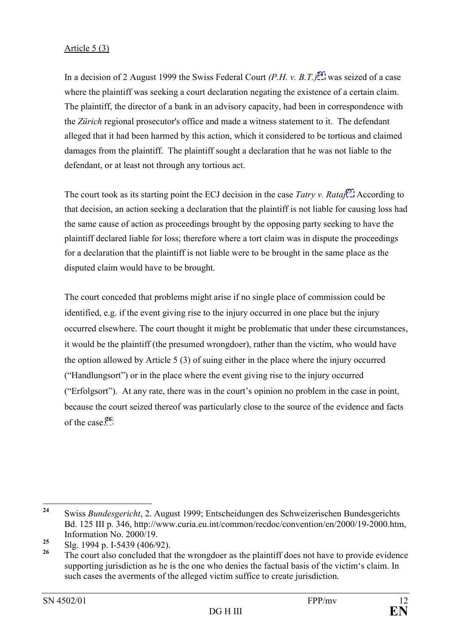### Article 5 (3)

In a decision of 2 August 1999 the Swiss Federal Court *(P.H. v. B.T.)***[24](#page-11-0)** was seized of a case where the plaintiff was seeking a court declaration negating the existence of a certain claim. The plaintiff, the director of a bank in an advisory capacity, had been in correspondence with the *Zürich* regional prosecutor's office and made a witness statement to it. The defendant alleged that it had been harmed by this action, which it considered to be tortious and claimed damages from the plaintiff. The plaintiff sought a declaration that he was not liable to the defendant, or at least not through any tortious act.

The court took as its starting point the ECJ decision in the case *Tatry v. Rataj[25](#page-11-1)*. According to that decision, an action seeking a declaration that the plaintiff is not liable for causing loss had the same cause of action as proceedings brought by the opposing party seeking to have the plaintiff declared liable for loss; therefore where a tort claim was in dispute the proceedings for a declaration that the plaintiff is not liable were to be brought in the same place as the disputed claim would have to be brought.

The court conceded that problems might arise if no single place of commission could be identified, e.g. if the event giving rise to the injury occurred in one place but the injury occurred elsewhere. The court thought it might be problematic that under these circumstances, it would be the plaintiff (the presumed wrongdoer), rather than the victim, who would have the option allowed by Article 5 (3) of suing either in the place where the injury occurred ("Handlungsort") or in the place where the event giving rise to the injury occurred ( $"Erfolgsort"$ ). At any rate, there was in the court's opinion no problem in the case in point, because the court seized thereof was particularly close to the source of the evidence and facts of the case.**[26](#page-11-2)**

<span id="page-11-0"></span> $24$ **<sup>24</sup>** Swiss *Bundesgericht*, 2. August 1999; Entscheidungen des Schweizerischen Bundesgerichts Bd. 125 III p. 346, http://www.curia.eu.int/common/recdoc/convention/en/2000/19-2000.htm, Information No. 2000/19.

<span id="page-11-1"></span><sup>&</sup>lt;sup>25</sup> Slg. 1994 p. I-5439 (406/92).

<span id="page-11-2"></span>The court also concluded that the wrongdoer as the plaintiff does not have to provide evidence supporting jurisdiction as he is the one who denies the factual basis of the victim's claim. In such cases the averments of the alleged victim suffice to create jurisdiction.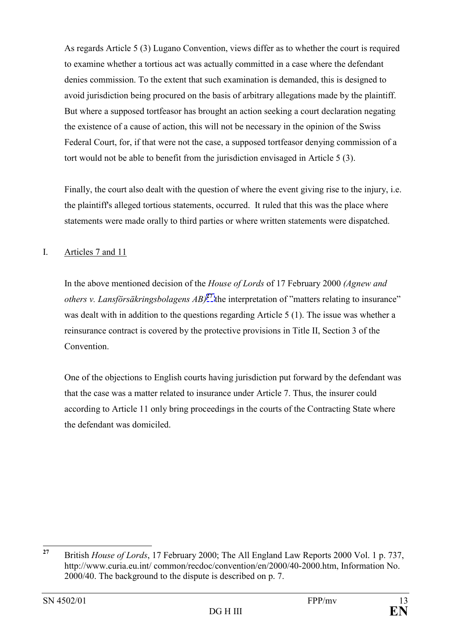As regards Article 5 (3) Lugano Convention, views differ as to whether the court is required to examine whether a tortious act was actually committed in a case where the defendant denies commission. To the extent that such examination is demanded, this is designed to avoid jurisdiction being procured on the basis of arbitrary allegations made by the plaintiff. But where a supposed tortfeasor has brought an action seeking a court declaration negating the existence of a cause of action, this will not be necessary in the opinion of the Swiss Federal Court, for, if that were not the case, a supposed tortfeasor denying commission of a tort would not be able to benefit from the jurisdiction envisaged in Article 5 (3).

Finally, the court also dealt with the question of where the event giving rise to the injury, i.e. the plaintiff's alleged tortious statements, occurred. It ruled that this was the place where statements were made orally to third parties or where written statements were dispatched.

### I. Articles 7 and 11

In the above mentioned decision of the *House of Lords* of 17 February 2000 *(Agnew and others v. Lansförsäkringsbolagens*  $AB$ *<sup>[27](#page-12-0)</sup> the interpretation of "matters relating to insurance"* was dealt with in addition to the questions regarding Article 5 (1). The issue was whether a reinsurance contract is covered by the protective provisions in Title II, Section 3 of the **Convention** 

One of the objections to English courts having jurisdiction put forward by the defendant was that the case was a matter related to insurance under Article 7. Thus, the insurer could according to Article 11 only bring proceedings in the courts of the Contracting State where the defendant was domiciled.

<span id="page-12-0"></span> $27$ **<sup>27</sup>** British *House of Lords*, 17 February 2000; The All England Law Reports 2000 Vol. 1 p. 737, http://www.curia.eu.int/ common/recdoc/convention/en/2000/40-2000.htm, Information No. 2000/40. The background to the dispute is described on p. 7.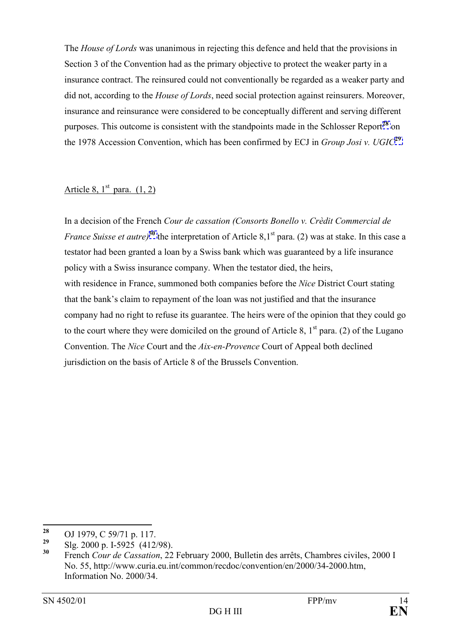The *House of Lords* was unanimous in rejecting this defence and held that the provisions in Section 3 of the Convention had as the primary objective to protect the weaker party in a insurance contract. The reinsured could not conventionally be regarded as a weaker party and did not, according to the *House of Lords*, need social protection against reinsurers. Moreover, insurance and reinsurance were considered to be conceptually different and serving different purposes. This outcome is consistent with the standpoints made in the Schlosser Report**[28](#page-13-0)** on the 1978 Accession Convention, which has been confirmed by ECJ in *Group Josi v. UGIC***[29](#page-13-1)***.*

### Article 8,  $1<sup>st</sup>$  para.  $(1, 2)$

In a decision of the French *Cour de cassation (Consorts Bonello v. Crèdit Commercial de France Suisse et autre*)<sup>[30](#page-13-2)</sup> the interpretation of Article 8.1<sup>st</sup> para. (2) was at stake. In this case a testator had been granted a loan by a Swiss bank which was guaranteed by a life insurance policy with a Swiss insurance company. When the testator died, the heirs, with residence in France, summoned both companies before the *Nice* District Court stating that the bank's claim to repayment of the loan was not justified and that the insurance company had no right to refuse its guarantee. The heirs were of the opinion that they could go to the court where they were domiciled on the ground of Article 8,  $1<sup>st</sup>$  para. (2) of the Lugano Convention. The *Nice* Court and the *Aix-en-Provence* Court of Appeal both declined jurisdiction on the basis of Article 8 of the Brussels Convention.

<span id="page-13-0"></span><sup>28</sup> <sup>28</sup> OJ 1979, C 59/71 p. 117.

<span id="page-13-1"></span><sup>&</sup>lt;sup>29</sup> Slg. 2000 p. I-5925 (412/98).<br><sup>30</sup> Example Gauge de Granatian 22.

<span id="page-13-2"></span>French *Cour de Cassation*, 22 February 2000, Bulletin des arrêts, Chambres civiles, 2000 I No. 55, http://www.curia.eu.int/common/recdoc/convention/en/2000/34-2000.htm, Information No. 2000/34.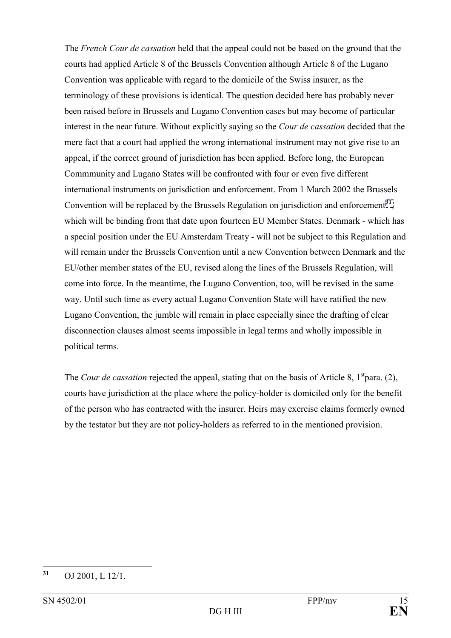The *French Cour de cassation* held that the appeal could not be based on the ground that the courts had applied Article 8 of the Brussels Convention although Article 8 of the Lugano Convention was applicable with regard to the domicile of the Swiss insurer, as the terminology of these provisions is identical. The question decided here has probably never been raised before in Brussels and Lugano Convention cases but may become of particular interest in the near future. Without explicitly saying so the *Cour de cassation* decided that the mere fact that a court had applied the wrong international instrument may not give rise to an appeal, if the correct ground of jurisdiction has been applied. Before long, the European Commmunity and Lugano States will be confronted with four or even five different international instruments on jurisdiction and enforcement. From 1 March 2002 the Brussels Convention will be replaced by the Brussels Regulation on jurisdiction and enforcement**[31](#page-14-0)**, which will be binding from that date upon fourteen EU Member States. Denmark - which has a special position under the EU Amsterdam Treaty - will not be subject to this Regulation and will remain under the Brussels Convention until a new Convention between Denmark and the EU/other member states of the EU, revised along the lines of the Brussels Regulation, will come into force. In the meantime, the Lugano Convention, too, will be revised in the same way. Until such time as every actual Lugano Convention State will have ratified the new Lugano Convention, the jumble will remain in place especially since the drafting of clear disconnection clauses almost seems impossible in legal terms and wholly impossible in political terms.

The *Cour de cassation* rejected the appeal, stating that on the basis of Article 8, 1<sup>st</sup>para. (2), courts have jurisdiction at the place where the policy-holder is domiciled only for the benefit of the person who has contracted with the insurer. Heirs may exercise claims formerly owned by the testator but they are not policy-holders as referred to in the mentioned provision.

<span id="page-14-0"></span> $31$ **<sup>31</sup>** OJ 2001, L 12/1.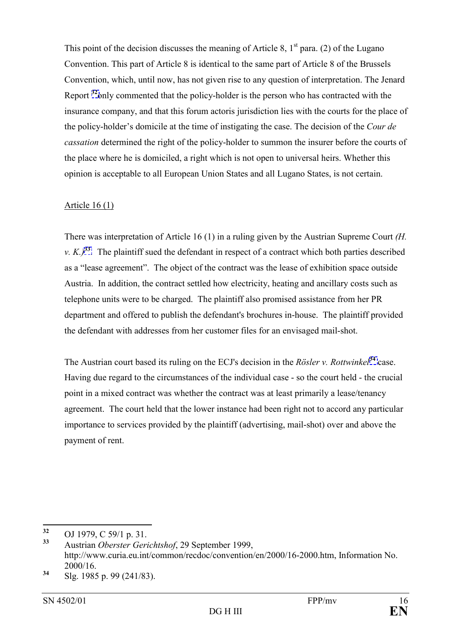This point of the decision discusses the meaning of Article 8,  $1<sup>st</sup>$  para. (2) of the Lugano Convention. This part of Article 8 is identical to the same part of Article 8 of the Brussels Convention, which, until now, has not given rise to any question of interpretation. The Jenard Report **[32](#page-15-0)**only commented that the policy-holder is the person who has contracted with the insurance company, and that this forum actoris jurisdiction lies with the courts for the place of the policy-holder's domicile at the time of instigating the case. The decision of the *Cour de cassation* determined the right of the policy-holder to summon the insurer before the courts of the place where he is domiciled, a right which is not open to universal heirs. Whether this opinion is acceptable to all European Union States and all Lugano States, is not certain.

#### Article 16 (1)

There was interpretation of Article 16 (1) in a ruling given by the Austrian Supreme Court *(H. v. K.*)<sup>[33](#page-15-1)</sup>. The plaintiff sued the defendant in respect of a contract which both parties described as a "lease agreement". The object of the contract was the lease of exhibition space outside Austria. In addition, the contract settled how electricity, heating and ancillary costs such as telephone units were to be charged. The plaintiff also promised assistance from her PR department and offered to publish the defendant's brochures in-house. The plaintiff provided the defendant with addresses from her customer files for an envisaged mail-shot.

The Austrian court based its ruling on the ECJ's decision in the *Rösler v. Rottwinkel*<sup>[34](#page-15-2)</sup> case. Having due regard to the circumstances of the individual case - so the court held - the crucial point in a mixed contract was whether the contract was at least primarily a lease/tenancy agreement. The court held that the lower instance had been right not to accord any particular importance to services provided by the plaintiff (advertising, mail-shot) over and above the payment of rent.

<span id="page-15-0"></span><sup>32</sup> **<sup>32</sup>** OJ 1979, C 59/1 p. 31.

<span id="page-15-1"></span>**<sup>33</sup>** Austrian *Oberster Gerichtshof*, 29 September 1999, http://www.curia.eu.int/common/recdoc/convention/en/2000/16-2000.htm, Information No. 2000/16.

<span id="page-15-2"></span>**<sup>34</sup>** Slg. 1985 p. 99 (241/83).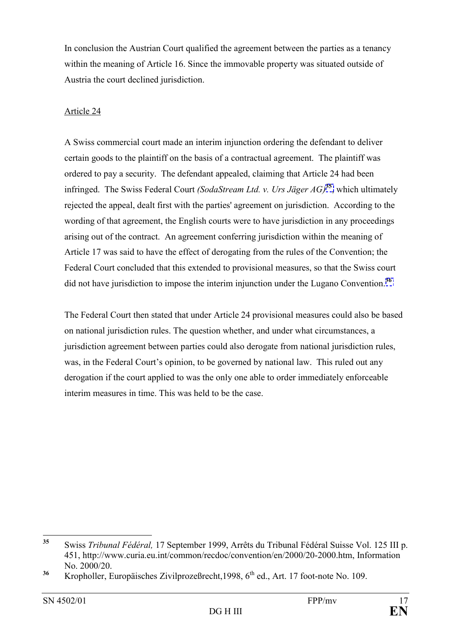In conclusion the Austrian Court qualified the agreement between the parties as a tenancy within the meaning of Article 16. Since the immovable property was situated outside of Austria the court declined jurisdiction.

#### Article 24

A Swiss commercial court made an interim injunction ordering the defendant to deliver certain goods to the plaintiff on the basis of a contractual agreement. The plaintiff was ordered to pay a security. The defendant appealed, claiming that Article 24 had been infringed. The Swiss Federal Court *(SodaStream Ltd. v. Urs Jäger AG*)<sup>[35](#page-16-0)</sup>, which ultimately rejected the appeal, dealt first with the parties' agreement on jurisdiction. According to the wording of that agreement, the English courts were to have jurisdiction in any proceedings arising out of the contract. An agreement conferring jurisdiction within the meaning of Article 17 was said to have the effect of derogating from the rules of the Convention; the Federal Court concluded that this extended to provisional measures, so that the Swiss court did not have jurisdiction to impose the interim injunction under the Lugano Convention.**[36](#page-16-1)**

The Federal Court then stated that under Article 24 provisional measures could also be based on national jurisdiction rules. The question whether, and under what circumstances, a jurisdiction agreement between parties could also derogate from national jurisdiction rules, was, in the Federal Court's opinion, to be governed by national law. This ruled out any derogation if the court applied to was the only one able to order immediately enforceable interim measures in time. This was held to be the case.

<span id="page-16-0"></span> $35$ Swiss *Tribunal Fédéral*, 17 September 1999, Arrêts du Tribunal Fédéral Suisse Vol. 125 III p. 451, http://www.curia.eu.int/common/recdoc/convention/en/2000/20-2000.htm, Information No. 2000/20.

<span id="page-16-1"></span><sup>&</sup>lt;sup>36</sup> Kropholler, Europäisches Zivilprozeßrecht, 1998, 6<sup>th</sup> ed., Art. 17 foot-note No. 109.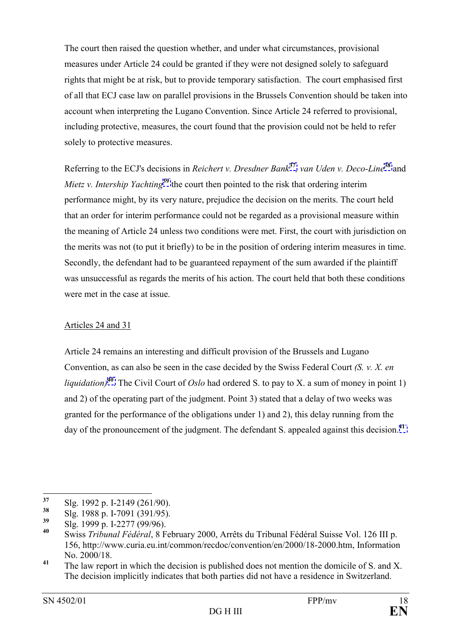The court then raised the question whether, and under what circumstances, provisional measures under Article 24 could be granted if they were not designed solely to safeguard rights that might be at risk, but to provide temporary satisfaction. The court emphasised first of all that ECJ case law on parallel provisions in the Brussels Convention should be taken into account when interpreting the Lugano Convention. Since Article 24 referred to provisional, including protective, measures, the court found that the provision could not be held to refer solely to protective measures.

Referring to the ECJ's decisions in *Reichert v. Dresdner Bank***[37](#page-17-0)***, van Uden v. Deco-Line***[38](#page-17-1)** and *Mietz v. Intership Yachting*<sup>[39](#page-17-2)</sup> the court then pointed to the risk that ordering interim performance might, by its very nature, prejudice the decision on the merits. The court held that an order for interim performance could not be regarded as a provisional measure within the meaning of Article 24 unless two conditions were met. First, the court with jurisdiction on the merits was not (to put it briefly) to be in the position of ordering interim measures in time. Secondly, the defendant had to be guaranteed repayment of the sum awarded if the plaintiff was unsuccessful as regards the merits of his action. The court held that both these conditions were met in the case at issue.

### Articles 24 and 31

Article 24 remains an interesting and difficult provision of the Brussels and Lugano Convention, as can also be seen in the case decided by the Swiss Federal Court *(S. v. X. en liquidation)***[40](#page-17-3)**. The Civil Court of *Oslo* had ordered S. to pay to X. a sum of money in point 1) and 2) of the operating part of the judgment. Point 3) stated that a delay of two weeks was granted for the performance of the obligations under 1) and 2), this delay running from the day of the pronouncement of the judgment. The defendant S. appealed against this decision.**[41](#page-17-4)**

<span id="page-17-0"></span><sup>37</sup> **<sup>37</sup>** Slg. 1992 p. I-2149 (261/90).

<span id="page-17-1"></span><sup>&</sup>lt;sup>38</sup> Slg. 1988 p. I-7091 (391/95).<br><sup>39</sup> SL<sub>2</sub> 1900 p. J. 2277 (00/06).

<span id="page-17-2"></span>**<sup>39</sup>** Slg. 1999 p. I-2277 (99/96).

<span id="page-17-3"></span>Swiss *Tribunal Fédéral*, 8 February 2000, Arrêts du Tribunal Fédéral Suisse Vol. 126 III p. 156, http://www.curia.eu.int/common/recdoc/convention/en/2000/18-2000.htm, Information No. 2000/18.

<span id="page-17-4"></span><sup>&</sup>lt;sup>41</sup> The law report in which the decision is published does not mention the domicile of S. and X. The decision implicitly indicates that both parties did not have a residence in Switzerland.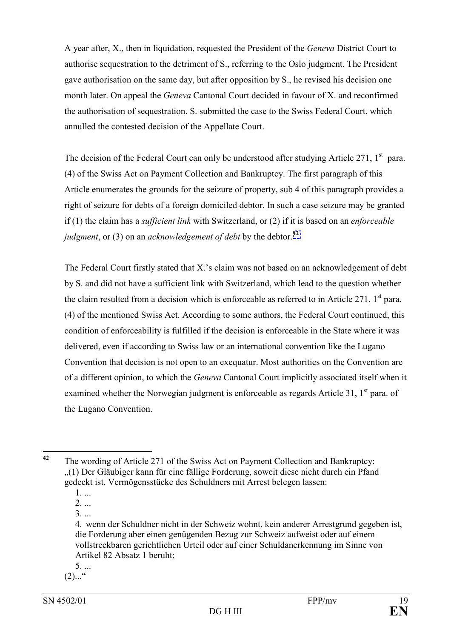A year after, X., then in liquidation, requested the President of the *Geneva* District Court to authorise sequestration to the detriment of S., referring to the Oslo judgment. The President gave authorisation on the same day, but after opposition by S., he revised his decision one month later. On appeal the *Geneva* Cantonal Court decided in favour of X. and reconfirmed the authorisation of sequestration. S. submitted the case to the Swiss Federal Court, which annulled the contested decision of the Appellate Court.

The decision of the Federal Court can only be understood after studying Article 271,  $1<sup>st</sup>$  para. (4) of the Swiss Act on Payment Collection and Bankruptcy. The first paragraph of this Article enumerates the grounds for the seizure of property, sub 4 of this paragraph provides a right of seizure for debts of a foreign domiciled debtor. In such a case seizure may be granted if (1) the claim has a *sufficient link* with Switzerland, or (2) if it is based on an *enforceable judgment*, or (3) on an *acknowledgement of debt* by the debtor.**[42](#page-18-0)**

The Federal Court firstly stated that X.'s claim was not based on an acknowledgement of debt by S. and did not have a sufficient link with Switzerland, which lead to the question whether the claim resulted from a decision which is enforceable as referred to in Article 271,  $1<sup>st</sup>$  para. (4) of the mentioned Swiss Act. According to some authors, the Federal Court continued, this condition of enforceability is fulfilled if the decision is enforceable in the State where it was delivered, even if according to Swiss law or an international convention like the Lugano Convention that decision is not open to an exequatur. Most authorities on the Convention are of a different opinion, to which the *Geneva* Cantonal Court implicitly associated itself when it examined whether the Norwegian judgment is enforceable as regards Article 31, 1<sup>st</sup> para. of the Lugano Convention.

1. ...

2. ...

3. ...

5. ...

 $(2)$ ...<sup>..</sup>

 $42$ 

<span id="page-18-0"></span>**<sup>42</sup>** The wording of Article 271 of the Swiss Act on Payment Collection and Bankruptcy: (1) Der Gläubiger kann für eine fällige Forderung, soweit diese nicht durch ein Pfand gedeckt ist, Vermögensstücke des Schuldners mit Arrest belegen lassen:

<sup>4.</sup> wenn der Schuldner nicht in der Schweiz wohnt, kein anderer Arrestgrund gegeben ist, die Forderung aber einen genügenden Bezug zur Schweiz aufweist oder auf einem vollstreckbaren gerichtlichen Urteil oder auf einer Schuldanerkennung im Sinne von Artikel 82 Absatz 1 beruht;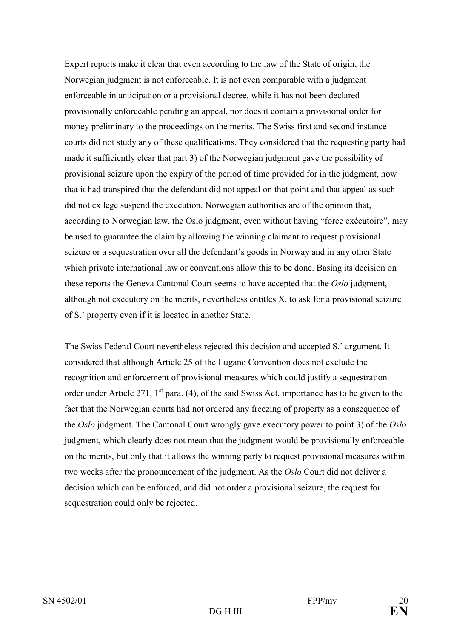Expert reports make it clear that even according to the law of the State of origin, the Norwegian judgment is not enforceable. It is not even comparable with a judgment enforceable in anticipation or a provisional decree, while it has not been declared provisionally enforceable pending an appeal, nor does it contain a provisional order for money preliminary to the proceedings on the merits. The Swiss first and second instance courts did not study any of these qualifications. They considered that the requesting party had made it sufficiently clear that part 3) of the Norwegian judgment gave the possibility of provisional seizure upon the expiry of the period of time provided for in the judgment, now that it had transpired that the defendant did not appeal on that point and that appeal as such did not ex lege suspend the execution. Norwegian authorities are of the opinion that, according to Norwegian law, the Oslo judgment, even without having "force exécutoire", may be used to guarantee the claim by allowing the winning claimant to request provisional seizure or a sequestration over all the defendant's goods in Norway and in any other State which private international law or conventions allow this to be done. Basing its decision on these reports the Geneva Cantonal Court seems to have accepted that the *Oslo* judgment, although not executory on the merits, nevertheless entitles X. to ask for a provisional seizure of S.í property even if it is located in another State.

The Swiss Federal Court nevertheless rejected this decision and accepted S. argument. It considered that although Article 25 of the Lugano Convention does not exclude the recognition and enforcement of provisional measures which could justify a sequestration order under Article 271,  $1<sup>st</sup>$  para. (4), of the said Swiss Act, importance has to be given to the fact that the Norwegian courts had not ordered any freezing of property as a consequence of the *Oslo* judgment. The Cantonal Court wrongly gave executory power to point 3) of the *Oslo* judgment, which clearly does not mean that the judgment would be provisionally enforceable on the merits, but only that it allows the winning party to request provisional measures within two weeks after the pronouncement of the judgment. As the *Oslo* Court did not deliver a decision which can be enforced, and did not order a provisional seizure, the request for sequestration could only be rejected.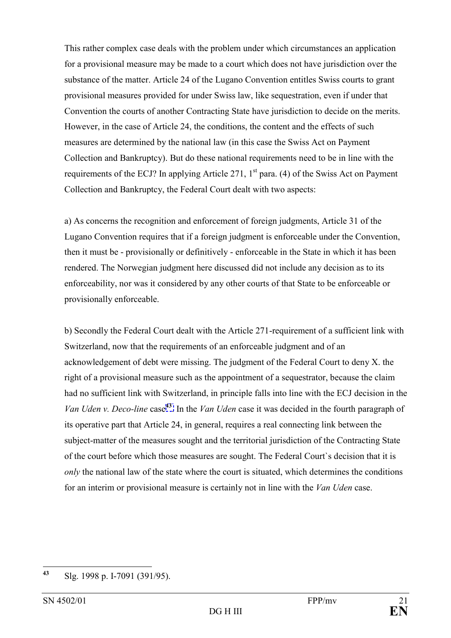This rather complex case deals with the problem under which circumstances an application for a provisional measure may be made to a court which does not have jurisdiction over the substance of the matter. Article 24 of the Lugano Convention entitles Swiss courts to grant provisional measures provided for under Swiss law, like sequestration, even if under that Convention the courts of another Contracting State have jurisdiction to decide on the merits. However, in the case of Article 24, the conditions, the content and the effects of such measures are determined by the national law (in this case the Swiss Act on Payment Collection and Bankruptcy). But do these national requirements need to be in line with the requirements of the ECJ? In applying Article 271,  $1<sup>st</sup>$  para. (4) of the Swiss Act on Payment Collection and Bankruptcy, the Federal Court dealt with two aspects:

a) As concerns the recognition and enforcement of foreign judgments, Article 31 of the Lugano Convention requires that if a foreign judgment is enforceable under the Convention, then it must be - provisionally or definitively - enforceable in the State in which it has been rendered. The Norwegian judgment here discussed did not include any decision as to its enforceability, nor was it considered by any other courts of that State to be enforceable or provisionally enforceable.

b) Secondly the Federal Court dealt with the Article 271-requirement of a sufficient link with Switzerland, now that the requirements of an enforceable judgment and of an acknowledgement of debt were missing. The judgment of the Federal Court to deny X. the right of a provisional measure such as the appointment of a sequestrator, because the claim had no sufficient link with Switzerland, in principle falls into line with the ECJ decision in the *Van Uden v. Deco-line* case**[43](#page-20-0)**. In the *Van Uden* case it was decided in the fourth paragraph of its operative part that Article 24, in general, requires a real connecting link between the subject-matter of the measures sought and the territorial jurisdiction of the Contracting State of the court before which those measures are sought. The Federal Court`s decision that it is *only* the national law of the state where the court is situated, which determines the conditions for an interim or provisional measure is certainly not in line with the *Van Uden* case.

<span id="page-20-0"></span> $43$ **<sup>43</sup>** Slg. 1998 p. I-7091 (391/95).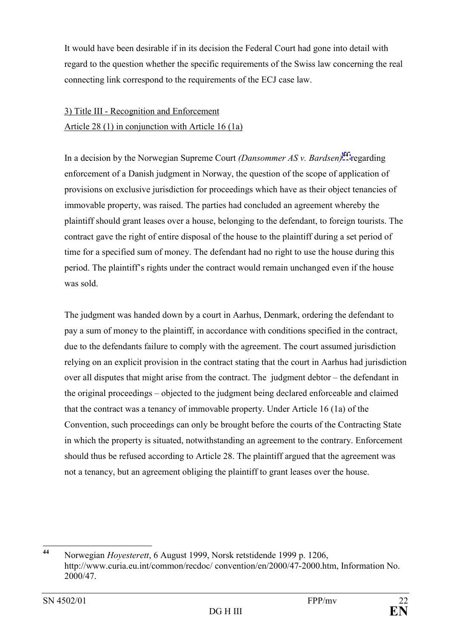It would have been desirable if in its decision the Federal Court had gone into detail with regard to the question whether the specific requirements of the Swiss law concerning the real connecting link correspond to the requirements of the ECJ case law.

# 3) Title III - Recognition and Enforcement Article 28 (1) in conjunction with Article 16 (1a)

In a decision by the Norwegian Supreme Court *(Dansommer AS v. Bardsen)***[44](#page-21-0)** regarding enforcement of a Danish judgment in Norway, the question of the scope of application of provisions on exclusive jurisdiction for proceedings which have as their object tenancies of immovable property, was raised. The parties had concluded an agreement whereby the plaintiff should grant leases over a house, belonging to the defendant, to foreign tourists. The contract gave the right of entire disposal of the house to the plaintiff during a set period of time for a specified sum of money. The defendant had no right to use the house during this period. The plaintiff's rights under the contract would remain unchanged even if the house was sold.

The judgment was handed down by a court in Aarhus, Denmark, ordering the defendant to pay a sum of money to the plaintiff, in accordance with conditions specified in the contract, due to the defendants failure to comply with the agreement. The court assumed jurisdiction relying on an explicit provision in the contract stating that the court in Aarhus had jurisdiction over all disputes that might arise from the contract. The judgment debtor  $-$  the defendant in the original proceedings – objected to the judgment being declared enforceable and claimed that the contract was a tenancy of immovable property. Under Article 16 (1a) of the Convention, such proceedings can only be brought before the courts of the Contracting State in which the property is situated, notwithstanding an agreement to the contrary. Enforcement should thus be refused according to Article 28. The plaintiff argued that the agreement was not a tenancy, but an agreement obliging the plaintiff to grant leases over the house.

<span id="page-21-0"></span> $44$ **<sup>44</sup>** Norwegian *Hoyesterett*, 6 August 1999, Norsk retstidende 1999 p. 1206, http://www.curia.eu.int/common/recdoc/ convention/en/2000/47-2000.htm, Information No. 2000/47.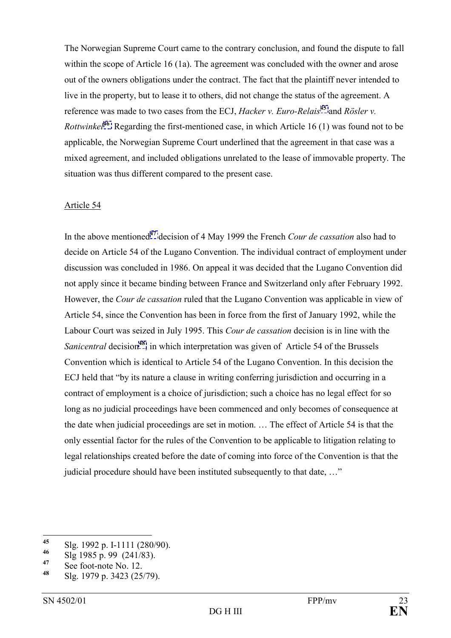The Norwegian Supreme Court came to the contrary conclusion, and found the dispute to fall within the scope of Article 16 (1a). The agreement was concluded with the owner and arose out of the owners obligations under the contract. The fact that the plaintiff never intended to live in the property, but to lease it to others, did not change the status of the agreement. A reference was made to two cases from the ECJ, *Hacker v. Euro-Relais*<sup>[45](#page-22-0)</sup> and *Rösler v. Rottwinkel***[46](#page-22-1)**. Regarding the first-mentioned case, in which Article 16 (1) was found not to be applicable, the Norwegian Supreme Court underlined that the agreement in that case was a mixed agreement, and included obligations unrelated to the lease of immovable property. The situation was thus different compared to the present case.

#### Article 54

In the above mentioned**[47](#page-22-2)** decision of 4 May 1999 the French *Cour de cassation* also had to decide on Article 54 of the Lugano Convention. The individual contract of employment under discussion was concluded in 1986. On appeal it was decided that the Lugano Convention did not apply since it became binding between France and Switzerland only after February 1992. However, the *Cour de cassation* ruled that the Lugano Convention was applicable in view of Article 54, since the Convention has been in force from the first of January 1992, while the Labour Court was seized in July 1995. This *Cour de cassation* decision is in line with the *Sanicentral* decision**[48](#page-22-3)**, in which interpretation was given of Article 54 of the Brussels Convention which is identical to Article 54 of the Lugano Convention. In this decision the ECJ held that "by its nature a clause in writing conferring jurisdiction and occurring in a contract of employment is a choice of jurisdiction; such a choice has no legal effect for so long as no judicial proceedings have been commenced and only becomes of consequence at the date when judicial proceedings are set in motion.  $\ldots$  The effect of Article 54 is that the only essential factor for the rules of the Convention to be applicable to litigation relating to legal relationships created before the date of coming into force of the Convention is that the judicial procedure should have been instituted subsequently to that date, ..."

<span id="page-22-0"></span> $45$  $\frac{45}{46}$  Slg. 1992 p. I-1111 (280/90).

<span id="page-22-1"></span>**<sup>46</sup>** Slg 1985 p. 99 (241/83).

<span id="page-22-2"></span><sup>&</sup>lt;sup>47</sup> See foot-note No. 12.

<span id="page-22-3"></span>**<sup>48</sup>** Slg. 1979 p. 3423 (25/79).